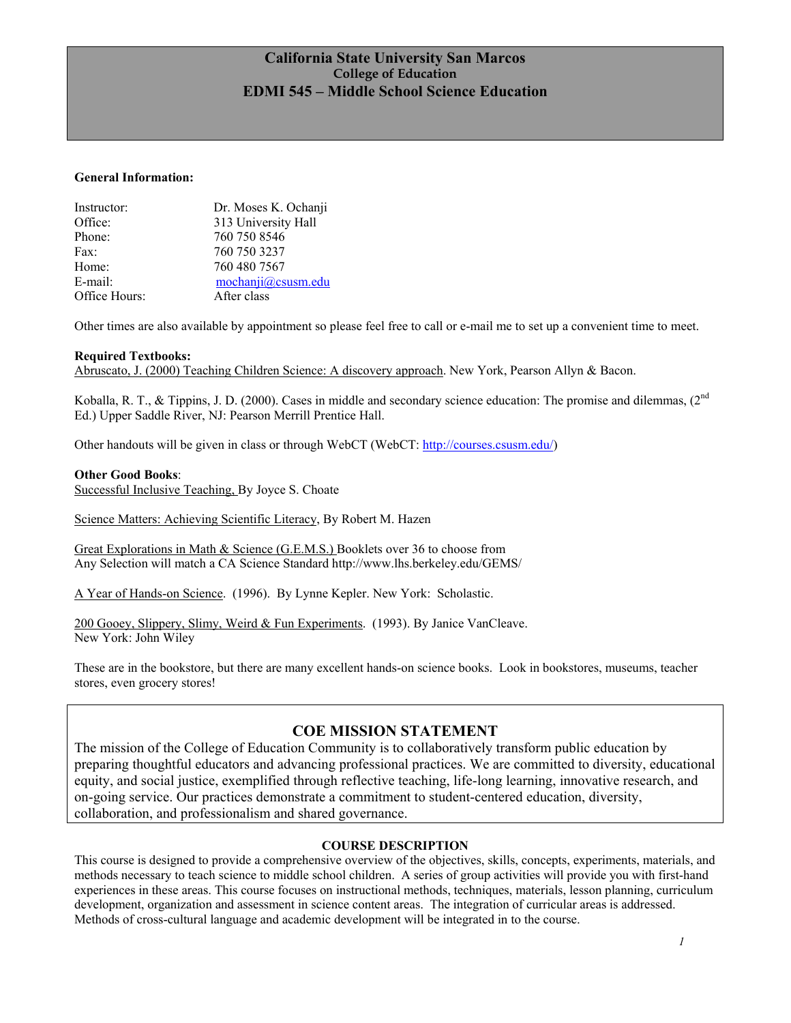## **California State University San Marcos College of Education EDMI 545 – Middle School Science Education**

#### **General Information:**

| Instructor:   | Dr. Moses K. Ochanji |
|---------------|----------------------|
| Office:       | 313 University Hall  |
| Phone:        | 760 750 8546         |
| Fax:          | 760 750 3237         |
| Home:         | 760 480 7567         |
| E-mail:       | mochanji@csusm.edu   |
| Office Hours: | After class          |

Other times are also available by appointment so please feel free to call or e-mail me to set up a convenient time to meet.

#### **Required Textbooks:**

Abruscato, J. (2000) Teaching Children Science: A discovery approach. New York, Pearson Allyn & Bacon.

Koballa, R. T., & Tippins, J. D. (2000). Cases in middle and secondary science education: The promise and dilemmas,  $(2^{nd}$ Ed.) Upper Saddle River, NJ: Pearson Merrill Prentice Hall.

Other handouts will be given in class or through WebCT (WebCT: http://courses.csusm.edu/)

#### **Other Good Books**:

Successful Inclusive Teaching, By Joyce S. Choate

Science Matters: Achieving Scientific Literacy, By Robert M. Hazen

Great Explorations in Math & Science (G.E.M.S.) Booklets over 36 to choose from Any Selection will match a CA Science Standard http://www.lhs.berkeley.edu/GEMS/

A Year of Hands-on Science. (1996). By Lynne Kepler. New York: Scholastic.

200 Gooey, Slippery, Slimy, Weird & Fun Experiments. (1993). By Janice VanCleave. New York: John Wiley

These are in the bookstore, but there are many excellent hands-on science books. Look in bookstores, museums, teacher stores, even grocery stores!

### **COE MISSION STATEMENT**

The mission of the College of Education Community is to collaboratively transform public education by preparing thoughtful educators and advancing professional practices. We are committed to diversity, educational equity, and social justice, exemplified through reflective teaching, life-long learning, innovative research, and on-going service. Our practices demonstrate a commitment to student-centered education, diversity, collaboration, and professionalism and shared governance.

#### **COURSE DESCRIPTION**

This course is designed to provide a comprehensive overview of the objectives, skills, concepts, experiments, materials, and methods necessary to teach science to middle school children. A series of group activities will provide you with first-hand experiences in these areas. This course focuses on instructional methods, techniques, materials, lesson planning, curriculum development, organization and assessment in science content areas. The integration of curricular areas is addressed. Methods of cross-cultural language and academic development will be integrated in to the course.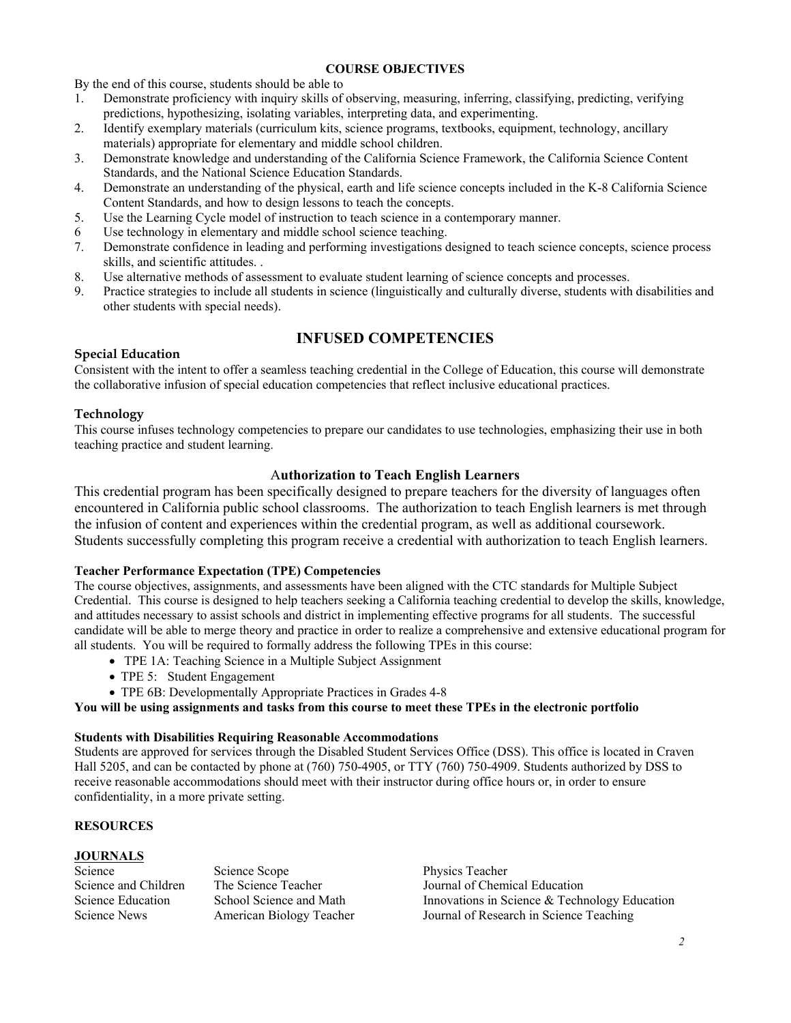#### **COURSE OBJECTIVES**

By the end of this course, students should be able to

- 1. Demonstrate proficiency with inquiry skills of observing, measuring, inferring, classifying, predicting, verifying predictions, hypothesizing, isolating variables, interpreting data, and experimenting.
- 2. Identify exemplary materials (curriculum kits, science programs, textbooks, equipment, technology, ancillary materials) appropriate for elementary and middle school children.
- 3. Demonstrate knowledge and understanding of the California Science Framework, the California Science Content Standards, and the National Science Education Standards.
- 4. Demonstrate an understanding of the physical, earth and life science concepts included in the K-8 California Science Content Standards, and how to design lessons to teach the concepts.
- 5. Use the Learning Cycle model of instruction to teach science in a contemporary manner.
- 6 Use technology in elementary and middle school science teaching.
- 7. Demonstrate confidence in leading and performing investigations designed to teach science concepts, science process skills, and scientific attitudes. .
- 8. Use alternative methods of assessment to evaluate student learning of science concepts and processes.
- 9. Practice strategies to include all students in science (linguistically and culturally diverse, students with disabilities and other students with special needs).

## **INFUSED COMPETENCIES**

### **Special Education**

Consistent with the intent to offer a seamless teaching credential in the College of Education, this course will demonstrate the collaborative infusion of special education competencies that reflect inclusive educational practices.

### **Technology**

This course infuses technology competencies to prepare our candidates to use technologies, emphasizing their use in both teaching practice and student learning.

### A**uthorization to Teach English Learners**

This credential program has been specifically designed to prepare teachers for the diversity of languages often encountered in California public school classrooms. The authorization to teach English learners is met through the infusion of content and experiences within the credential program, as well as additional coursework. Students successfully completing this program receive a credential with authorization to teach English learners.

#### **Teacher Performance Expectation (TPE) Competencies**

The course objectives, assignments, and assessments have been aligned with the CTC standards for Multiple Subject Credential. This course is designed to help teachers seeking a California teaching credential to develop the skills, knowledge, and attitudes necessary to assist schools and district in implementing effective programs for all students. The successful candidate will be able to merge theory and practice in order to realize a comprehensive and extensive educational program for all students. You will be required to formally address the following TPEs in this course:

- TPE 1A: Teaching Science in a Multiple Subject Assignment
- TPE 5: Student Engagement
- TPE 6B: Developmentally Appropriate Practices in Grades 4-8

#### **You will be using assignments and tasks from this course to meet these TPEs in the electronic portfolio**

### **Students with Disabilities Requiring Reasonable Accommodations**

Students are approved for services through the Disabled Student Services Office (DSS). This office is located in Craven Hall 5205, and can be contacted by phone at (760) 750-4905, or TTY (760) 750-4909. Students authorized by DSS to receive reasonable accommodations should meet with their instructor during office hours or, in order to ensure confidentiality, in a more private setting.

#### **RESOURCES**

### **JOURNALS**

Science Science Scope Physics Teacher

Science and Children The Science Teacher Journal of Chemical Education Science Education School Science and Math Innovations in Science & Technology Education Science News American Biology Teacher Journal of Research in Science Teaching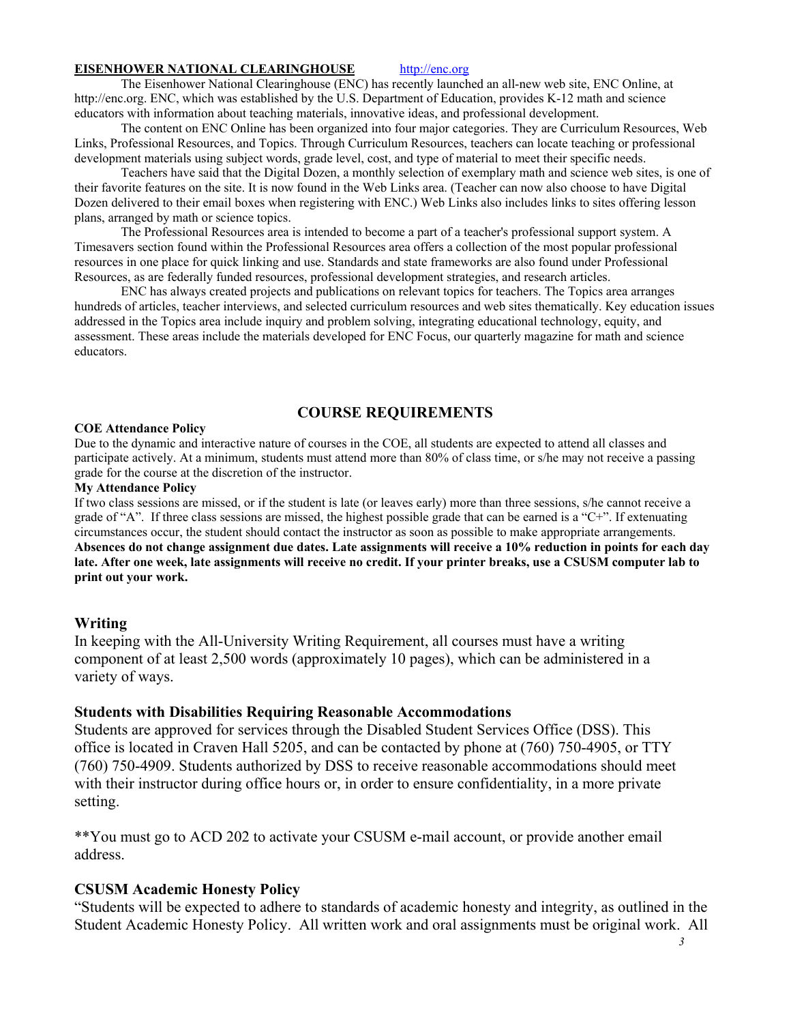#### **EISENHOWER NATIONAL CLEARINGHOUSE** http://enc.org

The Eisenhower National Clearinghouse (ENC) has recently launched an all-new web site, ENC Online, at http://enc.org. ENC, which was established by the U.S. Department of Education, provides K-12 math and science educators with information about teaching materials, innovative ideas, and professional development.

The content on ENC Online has been organized into four major categories. They are Curriculum Resources, Web Links, Professional Resources, and Topics. Through Curriculum Resources, teachers can locate teaching or professional development materials using subject words, grade level, cost, and type of material to meet their specific needs.

Teachers have said that the Digital Dozen, a monthly selection of exemplary math and science web sites, is one of their favorite features on the site. It is now found in the Web Links area. (Teacher can now also choose to have Digital Dozen delivered to their email boxes when registering with ENC.) Web Links also includes links to sites offering lesson plans, arranged by math or science topics.

The Professional Resources area is intended to become a part of a teacher's professional support system. A Timesavers section found within the Professional Resources area offers a collection of the most popular professional resources in one place for quick linking and use. Standards and state frameworks are also found under Professional Resources, as are federally funded resources, professional development strategies, and research articles.

ENC has always created projects and publications on relevant topics for teachers. The Topics area arranges hundreds of articles, teacher interviews, and selected curriculum resources and web sites thematically. Key education issues addressed in the Topics area include inquiry and problem solving, integrating educational technology, equity, and assessment. These areas include the materials developed for ENC Focus, our quarterly magazine for math and science educators.

## **COURSE REQUIREMENTS**

#### **COE Attendance Policy**

Due to the dynamic and interactive nature of courses in the COE, all students are expected to attend all classes and participate actively. At a minimum, students must attend more than 80% of class time, or s/he may not receive a passing grade for the course at the discretion of the instructor.

#### **My Attendance Policy**

If two class sessions are missed, or if the student is late (or leaves early) more than three sessions, s/he cannot receive a grade of "A". If three class sessions are missed, the highest possible grade that can be earned is a "C+". If extenuating circumstances occur, the student should contact the instructor as soon as possible to make appropriate arrangements. **Absences do not change assignment due dates. Late assignments will receive a 10% reduction in points for each day late. After one week, late assignments will receive no credit. If your printer breaks, use a CSUSM computer lab to print out your work.** 

#### **Writing**

In keeping with the All-University Writing Requirement, all courses must have a writing component of at least 2,500 words (approximately 10 pages), which can be administered in a variety of ways.

### **Students with Disabilities Requiring Reasonable Accommodations**

Students are approved for services through the Disabled Student Services Office (DSS). This office is located in Craven Hall 5205, and can be contacted by phone at (760) 750-4905, or TTY (760) 750-4909. Students authorized by DSS to receive reasonable accommodations should meet with their instructor during office hours or, in order to ensure confidentiality, in a more private setting.

\*\*You must go to ACD 202 to activate your CSUSM e-mail account, or provide another email address.

### **CSUSM Academic Honesty Policy**

"Students will be expected to adhere to standards of academic honesty and integrity, as outlined in the Student Academic Honesty Policy. All written work and oral assignments must be original work. All

 *3*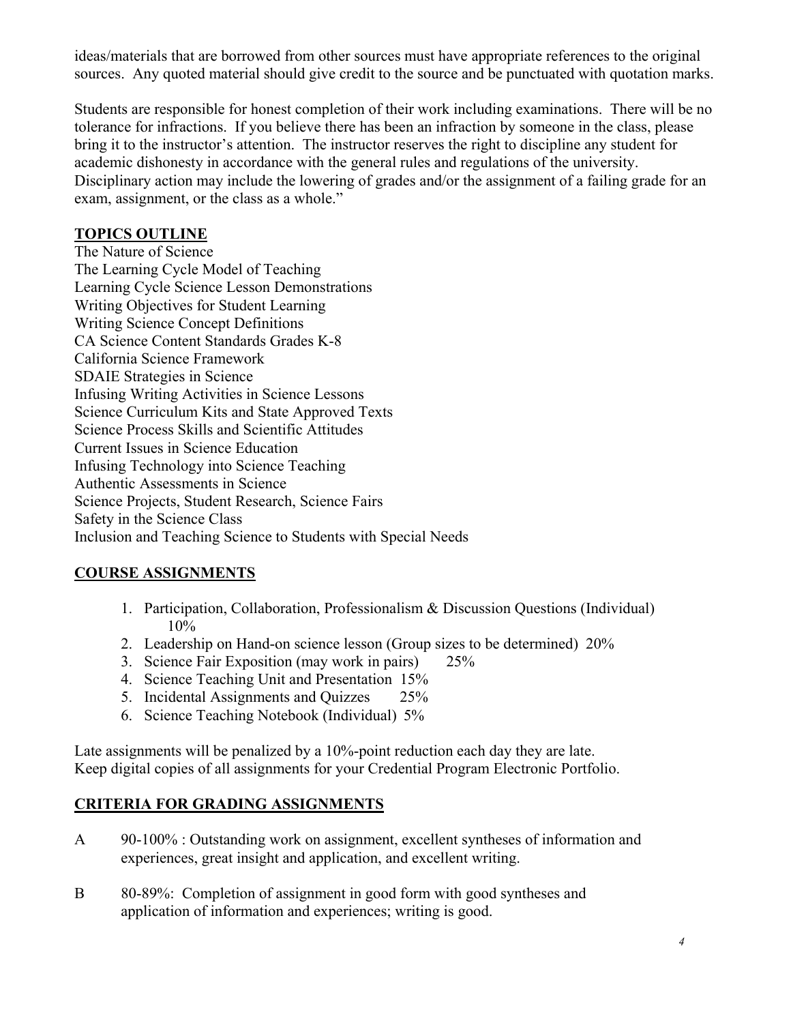ideas/materials that are borrowed from other sources must have appropriate references to the original sources. Any quoted material should give credit to the source and be punctuated with quotation marks.

Students are responsible for honest completion of their work including examinations. There will be no tolerance for infractions. If you believe there has been an infraction by someone in the class, please bring it to the instructor's attention. The instructor reserves the right to discipline any student for academic dishonesty in accordance with the general rules and regulations of the university. Disciplinary action may include the lowering of grades and/or the assignment of a failing grade for an exam, assignment, or the class as a whole."

## **TOPICS OUTLINE**

The Nature of Science The Learning Cycle Model of Teaching Learning Cycle Science Lesson Demonstrations Writing Objectives for Student Learning Writing Science Concept Definitions CA Science Content Standards Grades K-8 California Science Framework SDAIE Strategies in Science Infusing Writing Activities in Science Lessons Science Curriculum Kits and State Approved Texts Science Process Skills and Scientific Attitudes Current Issues in Science Education Infusing Technology into Science Teaching Authentic Assessments in Science Science Projects, Student Research, Science Fairs Safety in the Science Class Inclusion and Teaching Science to Students with Special Needs

# **COURSE ASSIGNMENTS**

- 1. Participation, Collaboration, Professionalism & Discussion Questions (Individual) 10%
- 2. Leadership on Hand-on science lesson (Group sizes to be determined) 20%
- 3. Science Fair Exposition (may work in pairs) 25%
- 4. Science Teaching Unit and Presentation 15%
- 5. Incidental Assignments and Quizzes 25%
- 6. Science Teaching Notebook (Individual) 5%

Late assignments will be penalized by a 10%-point reduction each day they are late. Keep digital copies of all assignments for your Credential Program Electronic Portfolio.

# **CRITERIA FOR GRADING ASSIGNMENTS**

- A 90-100% : Outstanding work on assignment, excellent syntheses of information and experiences, great insight and application, and excellent writing.
- B 80-89%: Completion of assignment in good form with good syntheses and application of information and experiences; writing is good.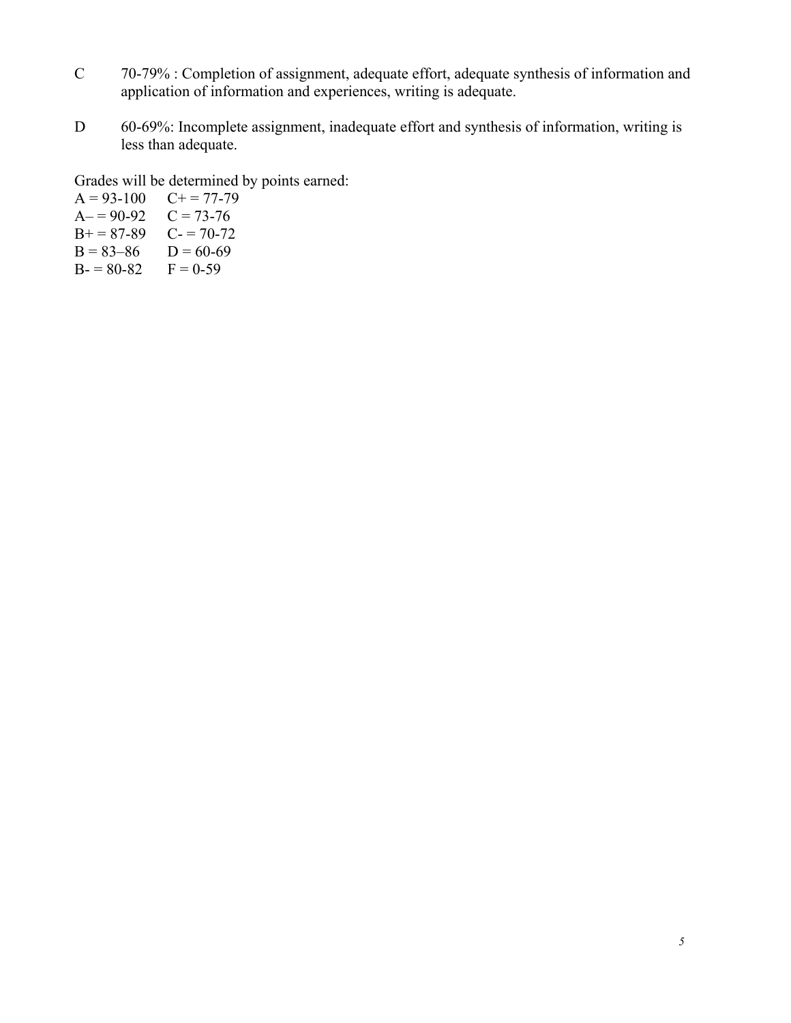- C 70-79% : Completion of assignment, adequate effort, adequate synthesis of information and application of information and experiences, writing is adequate.
- D 60-69%: Incomplete assignment, inadequate effort and synthesis of information, writing is less than adequate.

Grades will be determined by points earned:

 $A = 93-100$   $C+= 77-79$  $A = 90-92$   $C = 73-76$  $B+=87-89$  C- = 70-72  $B = 83-86$  D = 60-69  $B = 80-82$   $F = 0-59$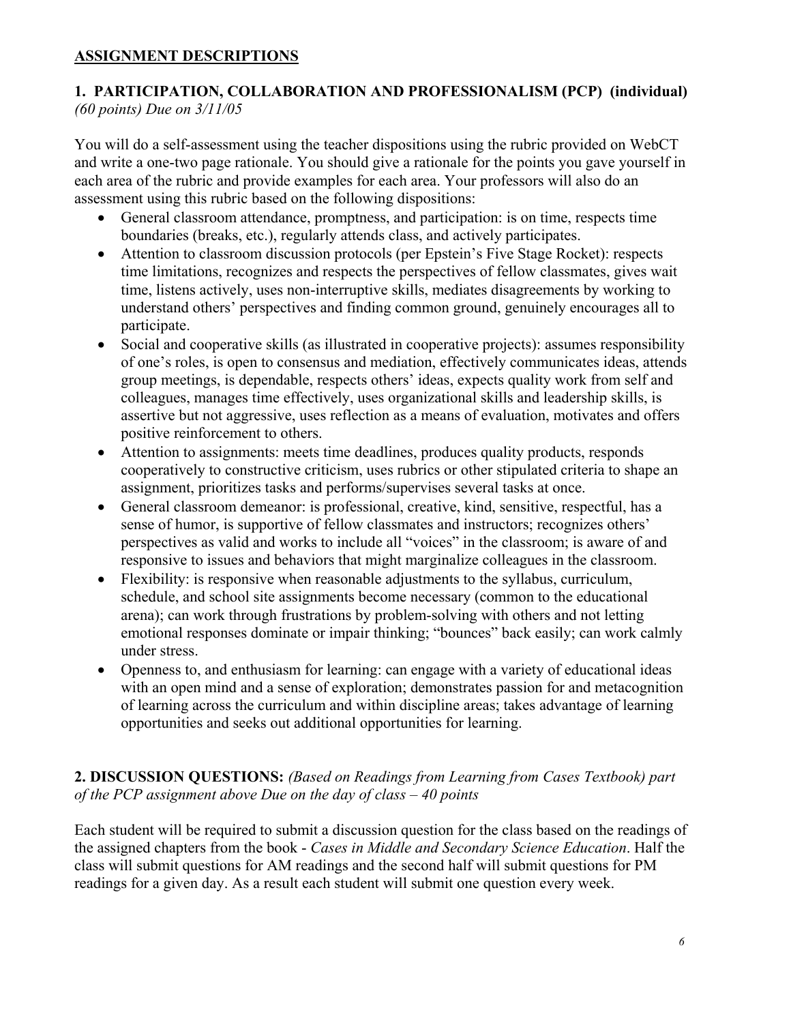## **ASSIGNMENT DESCRIPTIONS**

## **1. PARTICIPATION, COLLABORATION AND PROFESSIONALISM (PCP) (individual)**  *(60 points) Due on 3/11/05*

You will do a self-assessment using the teacher dispositions using the rubric provided on WebCT and write a one-two page rationale. You should give a rationale for the points you gave yourself in each area of the rubric and provide examples for each area. Your professors will also do an assessment using this rubric based on the following dispositions:

- General classroom attendance, promptness, and participation: is on time, respects time boundaries (breaks, etc.), regularly attends class, and actively participates.
- Attention to classroom discussion protocols (per Epstein's Five Stage Rocket): respects time limitations, recognizes and respects the perspectives of fellow classmates, gives wait time, listens actively, uses non-interruptive skills, mediates disagreements by working to understand others' perspectives and finding common ground, genuinely encourages all to participate.
- Social and cooperative skills (as illustrated in cooperative projects): assumes responsibility of one's roles, is open to consensus and mediation, effectively communicates ideas, attends group meetings, is dependable, respects others' ideas, expects quality work from self and colleagues, manages time effectively, uses organizational skills and leadership skills, is assertive but not aggressive, uses reflection as a means of evaluation, motivates and offers positive reinforcement to others.
- Attention to assignments: meets time deadlines, produces quality products, responds cooperatively to constructive criticism, uses rubrics or other stipulated criteria to shape an assignment, prioritizes tasks and performs/supervises several tasks at once.
- General classroom demeanor: is professional, creative, kind, sensitive, respectful, has a sense of humor, is supportive of fellow classmates and instructors; recognizes others' perspectives as valid and works to include all "voices" in the classroom; is aware of and responsive to issues and behaviors that might marginalize colleagues in the classroom.
- Flexibility: is responsive when reasonable adjustments to the syllabus, curriculum, schedule, and school site assignments become necessary (common to the educational arena); can work through frustrations by problem-solving with others and not letting emotional responses dominate or impair thinking; "bounces" back easily; can work calmly under stress.
- Openness to, and enthusiasm for learning: can engage with a variety of educational ideas with an open mind and a sense of exploration; demonstrates passion for and metacognition of learning across the curriculum and within discipline areas; takes advantage of learning opportunities and seeks out additional opportunities for learning.

# **2. DISCUSSION QUESTIONS:** *(Based on Readings from Learning from Cases Textbook) part of the PCP assignment above Due on the day of class – 40 points*

Each student will be required to submit a discussion question for the class based on the readings of the assigned chapters from the book - *Cases in Middle and Secondary Science Education*. Half the class will submit questions for AM readings and the second half will submit questions for PM readings for a given day. As a result each student will submit one question every week.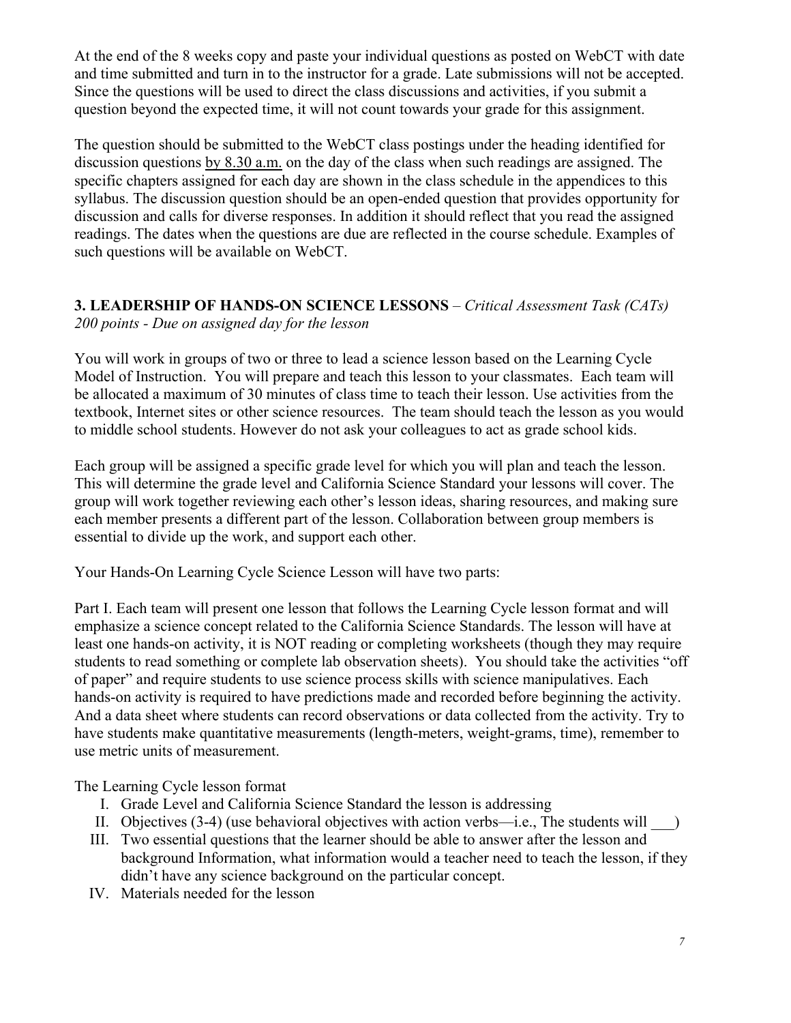At the end of the 8 weeks copy and paste your individual questions as posted on WebCT with date and time submitted and turn in to the instructor for a grade. Late submissions will not be accepted. Since the questions will be used to direct the class discussions and activities, if you submit a question beyond the expected time, it will not count towards your grade for this assignment.

The question should be submitted to the WebCT class postings under the heading identified for discussion questions by 8.30 a.m. on the day of the class when such readings are assigned. The specific chapters assigned for each day are shown in the class schedule in the appendices to this syllabus. The discussion question should be an open-ended question that provides opportunity for discussion and calls for diverse responses. In addition it should reflect that you read the assigned readings. The dates when the questions are due are reflected in the course schedule. Examples of such questions will be available on WebCT.

## **3. LEADERSHIP OF HANDS-ON SCIENCE LESSONS** – *Critical Assessment Task (CATs) 200 points - Due on assigned day for the lesson*

You will work in groups of two or three to lead a science lesson based on the Learning Cycle Model of Instruction. You will prepare and teach this lesson to your classmates. Each team will be allocated a maximum of 30 minutes of class time to teach their lesson. Use activities from the textbook, Internet sites or other science resources. The team should teach the lesson as you would to middle school students. However do not ask your colleagues to act as grade school kids.

Each group will be assigned a specific grade level for which you will plan and teach the lesson. This will determine the grade level and California Science Standard your lessons will cover. The group will work together reviewing each other's lesson ideas, sharing resources, and making sure each member presents a different part of the lesson. Collaboration between group members is essential to divide up the work, and support each other.

Your Hands-On Learning Cycle Science Lesson will have two parts:

Part I. Each team will present one lesson that follows the Learning Cycle lesson format and will emphasize a science concept related to the California Science Standards. The lesson will have at least one hands-on activity, it is NOT reading or completing worksheets (though they may require students to read something or complete lab observation sheets). You should take the activities "off of paper" and require students to use science process skills with science manipulatives. Each hands-on activity is required to have predictions made and recorded before beginning the activity. And a data sheet where students can record observations or data collected from the activity. Try to have students make quantitative measurements (length-meters, weight-grams, time), remember to use metric units of measurement.

The Learning Cycle lesson format

- I. Grade Level and California Science Standard the lesson is addressing
- II. Objectives  $(3-4)$  (use behavioral objectives with action verbs—i.e., The students will  $\qquad$ )
- III. Two essential questions that the learner should be able to answer after the lesson and background Information, what information would a teacher need to teach the lesson, if they didn't have any science background on the particular concept.
- IV. Materials needed for the lesson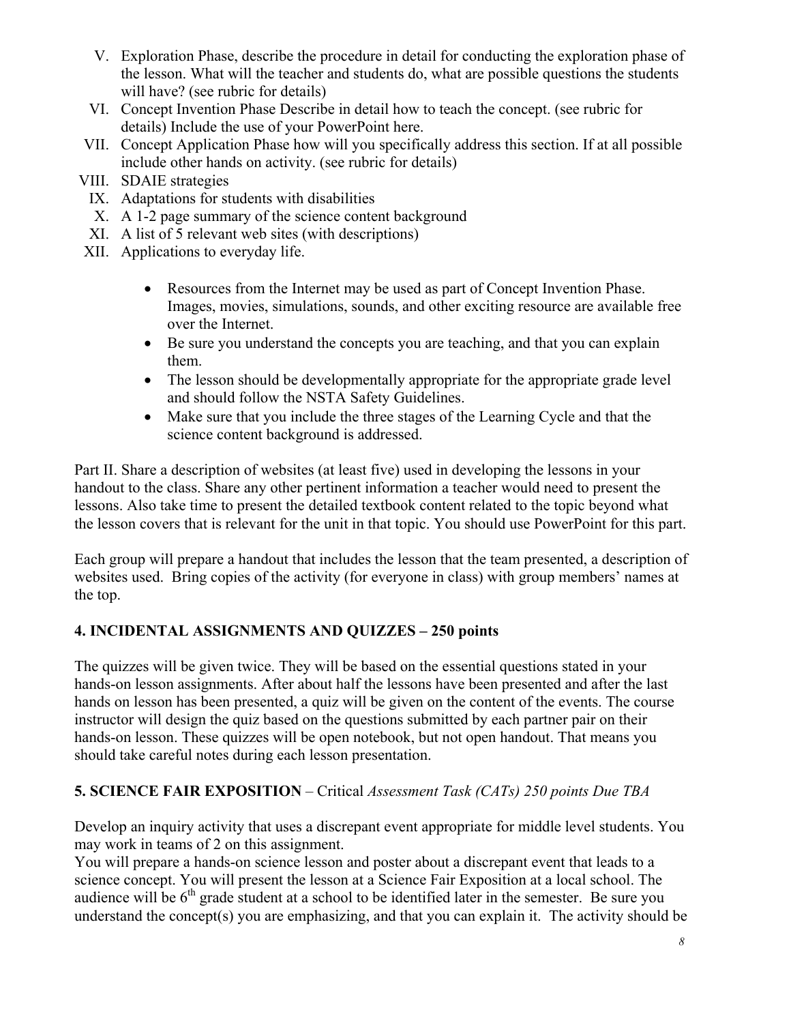- V. Exploration Phase, describe the procedure in detail for conducting the exploration phase of the lesson. What will the teacher and students do, what are possible questions the students will have? (see rubric for details)
- VI. Concept Invention Phase Describe in detail how to teach the concept. (see rubric for details) Include the use of your PowerPoint here.
- VII. Concept Application Phase how will you specifically address this section. If at all possible include other hands on activity. (see rubric for details)
- VIII. SDAIE strategies
- IX. Adaptations for students with disabilities
- X. A 1-2 page summary of the science content background
- XI. A list of 5 relevant web sites (with descriptions)
- XII. Applications to everyday life.
	- Resources from the Internet may be used as part of Concept Invention Phase. Images, movies, simulations, sounds, and other exciting resource are available free over the Internet.
	- Be sure you understand the concepts you are teaching, and that you can explain them.
	- The lesson should be developmentally appropriate for the appropriate grade level and should follow the NSTA Safety Guidelines.
	- Make sure that you include the three stages of the Learning Cycle and that the science content background is addressed.

Part II. Share a description of websites (at least five) used in developing the lessons in your handout to the class. Share any other pertinent information a teacher would need to present the lessons. Also take time to present the detailed textbook content related to the topic beyond what the lesson covers that is relevant for the unit in that topic. You should use PowerPoint for this part.

Each group will prepare a handout that includes the lesson that the team presented, a description of websites used. Bring copies of the activity (for everyone in class) with group members' names at the top.

# **4. INCIDENTAL ASSIGNMENTS AND QUIZZES – 250 points**

The quizzes will be given twice. They will be based on the essential questions stated in your hands-on lesson assignments. After about half the lessons have been presented and after the last hands on lesson has been presented, a quiz will be given on the content of the events. The course instructor will design the quiz based on the questions submitted by each partner pair on their hands-on lesson. These quizzes will be open notebook, but not open handout. That means you should take careful notes during each lesson presentation.

# **5. SCIENCE FAIR EXPOSITION** – Critical *Assessment Task (CATs) 250 points Due TBA*

Develop an inquiry activity that uses a discrepant event appropriate for middle level students. You may work in teams of 2 on this assignment.

You will prepare a hands-on science lesson and poster about a discrepant event that leads to a science concept. You will present the lesson at a Science Fair Exposition at a local school. The audience will be  $6<sup>th</sup>$  grade student at a school to be identified later in the semester. Be sure you understand the concept(s) you are emphasizing, and that you can explain it. The activity should be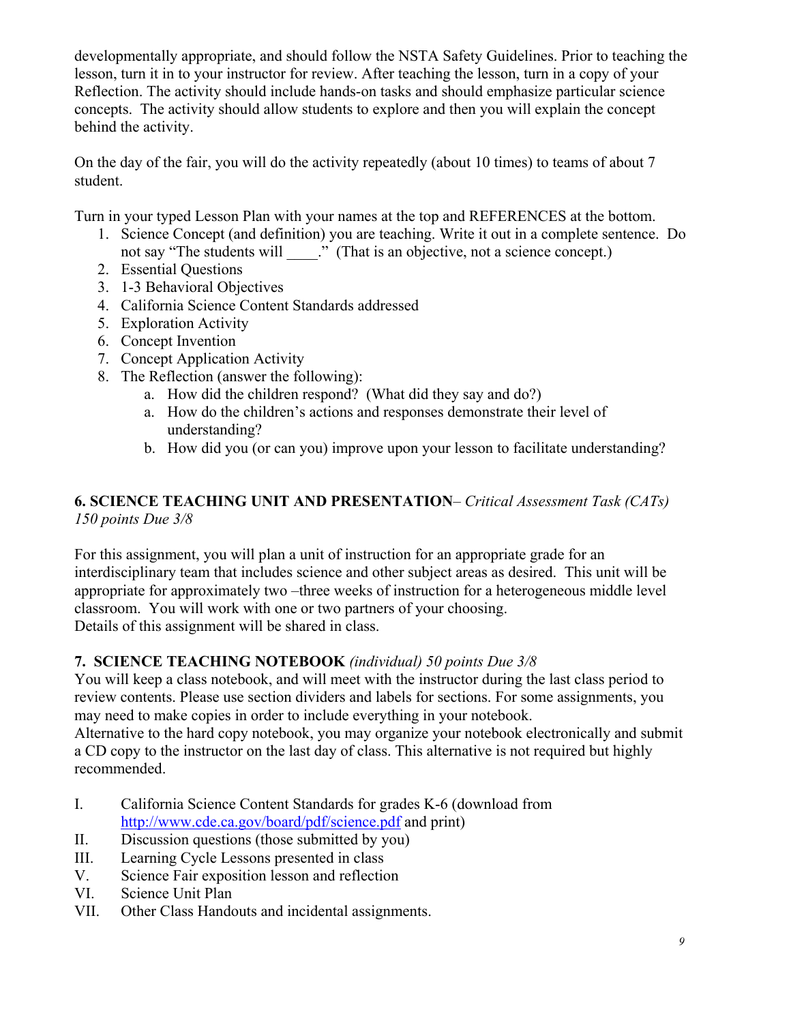developmentally appropriate, and should follow the NSTA Safety Guidelines. Prior to teaching the lesson, turn it in to your instructor for review. After teaching the lesson, turn in a copy of your Reflection. The activity should include hands-on tasks and should emphasize particular science concepts. The activity should allow students to explore and then you will explain the concept behind the activity.

On the day of the fair, you will do the activity repeatedly (about 10 times) to teams of about 7 student.

Turn in your typed Lesson Plan with your names at the top and REFERENCES at the bottom.

- 1. Science Concept (and definition) you are teaching. Write it out in a complete sentence. Do not say "The students will  $\therefore$ " (That is an objective, not a science concept.)
- 2. Essential Questions
- 3. 1-3 Behavioral Objectives
- 4. California Science Content Standards addressed
- 5. Exploration Activity
- 6. Concept Invention
- 7. Concept Application Activity
- 8. The Reflection (answer the following):
	- a. How did the children respond? (What did they say and do?)
	- a. How do the children's actions and responses demonstrate their level of understanding?
	- b. How did you (or can you) improve upon your lesson to facilitate understanding?

# **6. SCIENCE TEACHING UNIT AND PRESENTATION**– *Critical Assessment Task (CATs) 150 points Due 3/8*

For this assignment, you will plan a unit of instruction for an appropriate grade for an interdisciplinary team that includes science and other subject areas as desired. This unit will be appropriate for approximately two –three weeks of instruction for a heterogeneous middle level classroom. You will work with one or two partners of your choosing. Details of this assignment will be shared in class.

# **7. SCIENCE TEACHING NOTEBOOK** *(individual) 50 points Due 3/8*

You will keep a class notebook, and will meet with the instructor during the last class period to review contents. Please use section dividers and labels for sections. For some assignments, you may need to make copies in order to include everything in your notebook.

Alternative to the hard copy notebook, you may organize your notebook electronically and submit a CD copy to the instructor on the last day of class. This alternative is not required but highly recommended.

- I. California Science Content Standards for grades K-6 (download from http://www.cde.ca.gov/board/pdf/science.pdf and print)
- II. Discussion questions (those submitted by you)
- III. Learning Cycle Lessons presented in class
- V. Science Fair exposition lesson and reflection<br>VI. Science Unit Plan
- Science Unit Plan
- VII. Other Class Handouts and incidental assignments.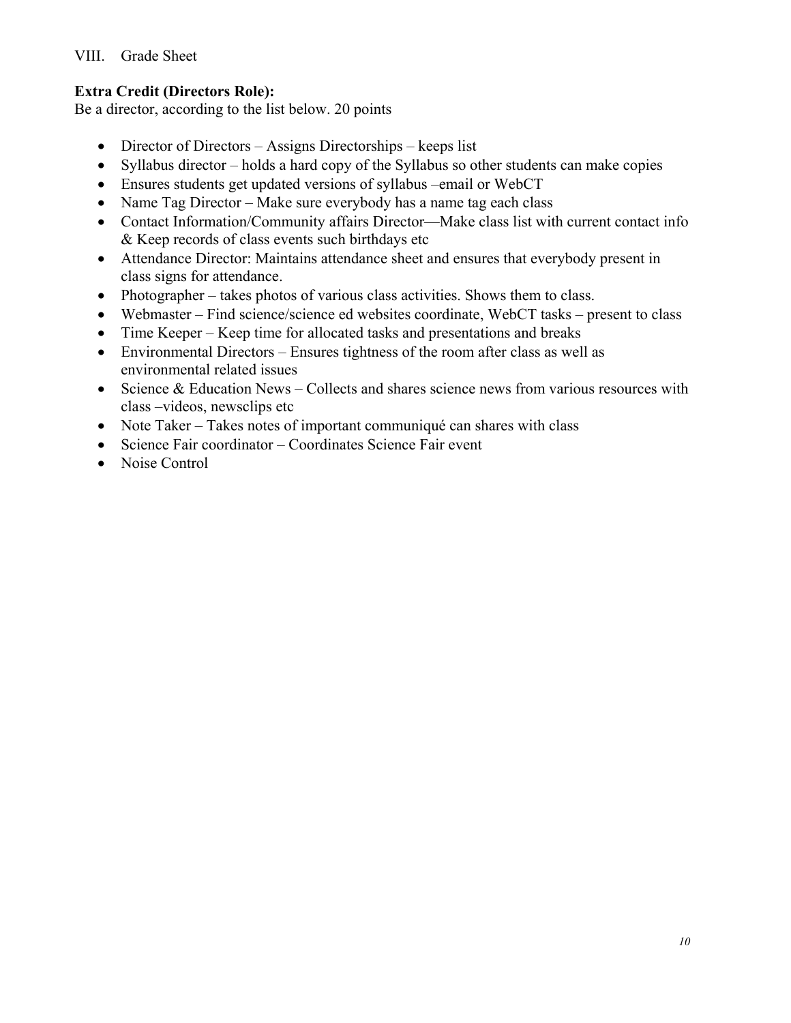VIII. Grade Sheet

# **Extra Credit (Directors Role):**

Be a director, according to the list below. 20 points

- Director of Directors Assigns Directorships keeps list
- Syllabus director holds a hard copy of the Syllabus so other students can make copies
- Ensures students get updated versions of syllabus –email or WebCT
- Name Tag Director Make sure everybody has a name tag each class
- Contact Information/Community affairs Director—Make class list with current contact info & Keep records of class events such birthdays etc
- Attendance Director: Maintains attendance sheet and ensures that everybody present in class signs for attendance.
- Photographer takes photos of various class activities. Shows them to class.
- Webmaster Find science/science ed websites coordinate, WebCT tasks present to class
- Time Keeper Keep time for allocated tasks and presentations and breaks
- Environmental Directors Ensures tightness of the room after class as well as environmental related issues
- Science  $& Education News Collects and shares science news from various resources with$ class –videos, newsclips etc
- Note Taker Takes notes of important communiqué can shares with class
- Science Fair coordinator Coordinates Science Fair event
- Noise Control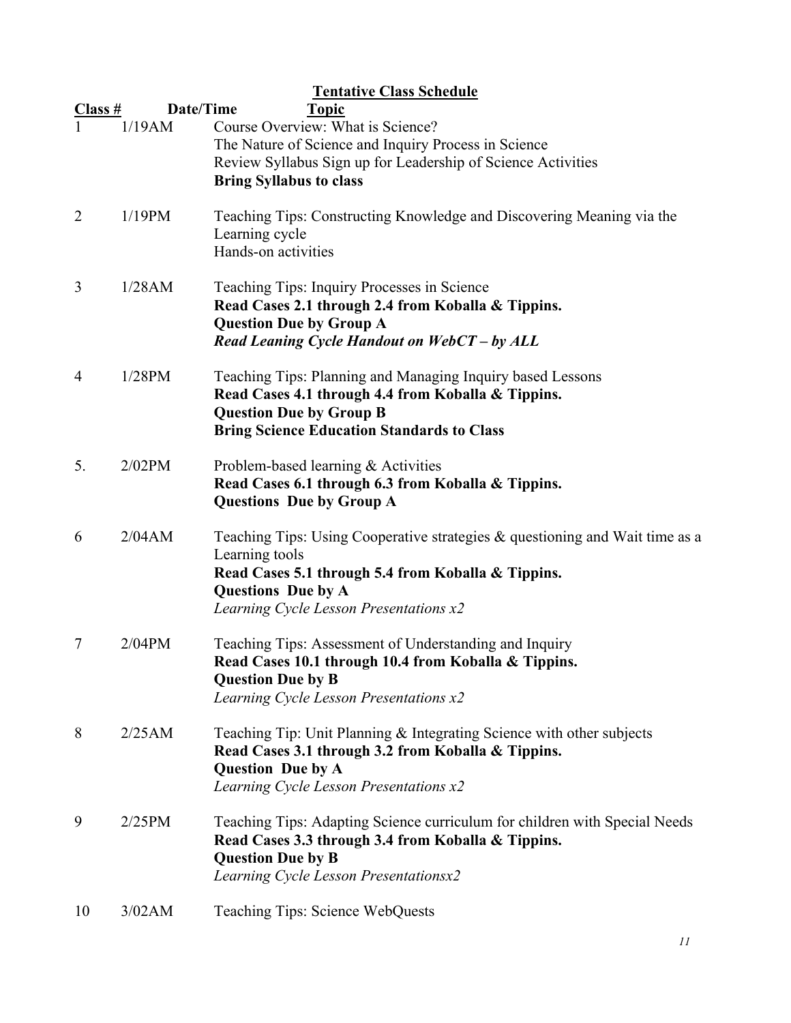| Class #        | Date/Time | <b>Tentative Class Schedule</b><br><b>Topic</b>                                                                                                                                                                                |
|----------------|-----------|--------------------------------------------------------------------------------------------------------------------------------------------------------------------------------------------------------------------------------|
|                | 1/19AM    | Course Overview: What is Science?<br>The Nature of Science and Inquiry Process in Science<br>Review Syllabus Sign up for Leadership of Science Activities                                                                      |
|                |           | <b>Bring Syllabus to class</b>                                                                                                                                                                                                 |
| $\overline{2}$ | 1/19PM    | Teaching Tips: Constructing Knowledge and Discovering Meaning via the<br>Learning cycle<br>Hands-on activities                                                                                                                 |
| 3              | 1/28AM    | Teaching Tips: Inquiry Processes in Science<br>Read Cases 2.1 through 2.4 from Koballa & Tippins.<br><b>Question Due by Group A</b><br>Read Leaning Cycle Handout on WebCT - by ALL                                            |
| 4              | 1/28PM    | Teaching Tips: Planning and Managing Inquiry based Lessons<br>Read Cases 4.1 through 4.4 from Koballa & Tippins.<br><b>Question Due by Group B</b><br><b>Bring Science Education Standards to Class</b>                        |
| 5.             | 2/02PM    | Problem-based learning & Activities<br>Read Cases 6.1 through 6.3 from Koballa & Tippins.<br><b>Questions Due by Group A</b>                                                                                                   |
| 6              | 2/04AM    | Teaching Tips: Using Cooperative strategies $\&$ questioning and Wait time as a<br>Learning tools<br>Read Cases 5.1 through 5.4 from Koballa & Tippins.<br><b>Questions</b> Due by A<br>Learning Cycle Lesson Presentations x2 |
| 7              | $2/04$ PM | Teaching Tips: Assessment of Understanding and Inquiry<br>Read Cases 10.1 through 10.4 from Koballa & Tippins.<br><b>Question Due by B</b><br>Learning Cycle Lesson Presentations x2                                           |
| 8              | 2/25AM    | Teaching Tip: Unit Planning & Integrating Science with other subjects<br>Read Cases 3.1 through 3.2 from Koballa & Tippins.<br><b>Question Due by A</b><br>Learning Cycle Lesson Presentations x2                              |
| 9              | 2/25PM    | Teaching Tips: Adapting Science curriculum for children with Special Needs<br>Read Cases 3.3 through 3.4 from Koballa & Tippins.<br><b>Question Due by B</b><br>Learning Cycle Lesson Presentationsx2                          |
| 10             | 3/02AM    | Teaching Tips: Science WebQuests                                                                                                                                                                                               |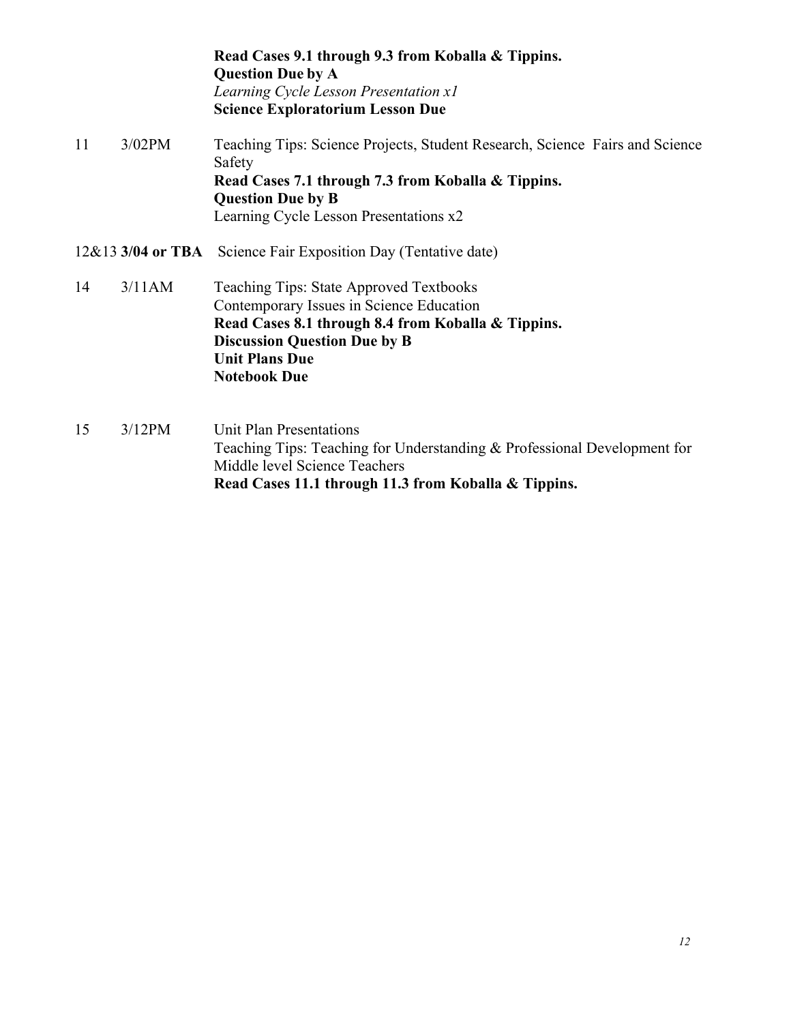**Read Cases 9.1 through 9.3 from Koballa & Tippins. Question Due by A**  *Learning Cycle Lesson Presentation x1*  **Science Exploratorium Lesson Due**  11 3/02PM Teaching Tips: Science Projects, Student Research, Science Fairs and Science Safety

 **Read Cases 7.1 through 7.3 from Koballa & Tippins. Question Due by B** Learning Cycle Lesson Presentations x2

- 12&13 **3/04 or TBA** Science Fair Exposition Day (Tentative date)
- 14 3/11AM Teaching Tips: State Approved Textbooks Contemporary Issues in Science Education **Read Cases 8.1 through 8.4 from Koballa & Tippins. Discussion Question Due by B Unit Plans Due Notebook Due**
- 15 3/12PM Unit Plan Presentations Teaching Tips: Teaching for Understanding & Professional Development for Middle level Science Teachers **Read Cases 11.1 through 11.3 from Koballa & Tippins.**